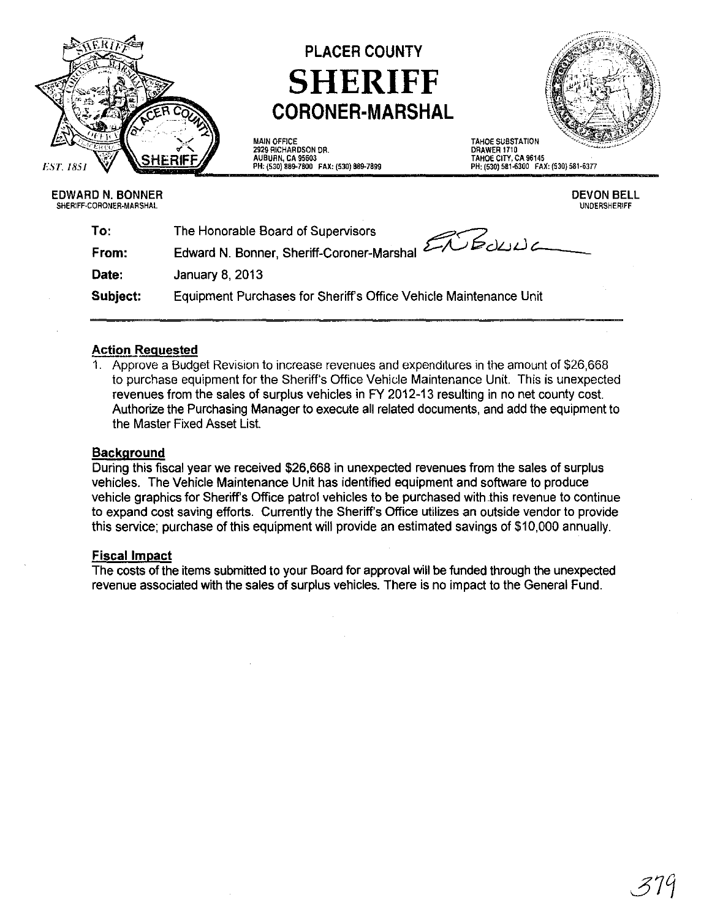

# PLACER COUNTY **SHERIFF CORONER-MARSHAL**

#### MAIN OFFICE 2929 RICHARDSON DR. AUBURN, CA 95603 PH: (530) 889-7800 FAX: (S3G) 889-7899

TAHOE SUBSTATION DRAWER 1710 TAHOE CITY, CA 96145 PH, (530) 581-6300 FAX, (530) 581·6377

#### EDWARD N. BONNER SHERIFF-CORONER·MARSHAL

DEVON BELL UNDERSHERIFF

| The Honorable Board of Supervisors                                |
|-------------------------------------------------------------------|
| Edward N. Bonner, Sheriff-Coroner-Marshal 200000                  |
| <b>January 8, 2013</b>                                            |
| Equipment Purchases for Sheriff's Office Vehicle Maintenance Unit |
|                                                                   |

## Action Requested

1. Approve a Budget Revision to increase revenues and expenditures in the amount of \$26,668 to purchase equipment for the Sheriff's Office Vehide Maintenance Unit. This is unexpected revenues from the sales of surplus vehicles in FY 2012-13 resulting in no net county cost. Authorize the Purchasing Manager to execute all related documents, and add the equipment to the Master Fixed Asset List.

#### **Background**

During this fiscal year we received \$26,668 in unexpected revenues from the sales of surplus vehicles. The Vehicle Maintenance Unit has identified equipment and software to produce vehicle graphics for Sheriff's Office patrol vehicles to be purchased with this revenue to continue to expand cost saving efforts. Currently the Sheriff's Office utilizes an outside vendor to provide this service; purchase of this equipment will provide an estimated savings of \$10,000 annually.

#### Fiscal Impact

The costs of the items submitted to your Board for approval will be funded through the unexpected revenue associated with the sales of surplus vehicles. There is no impact to the General Fund.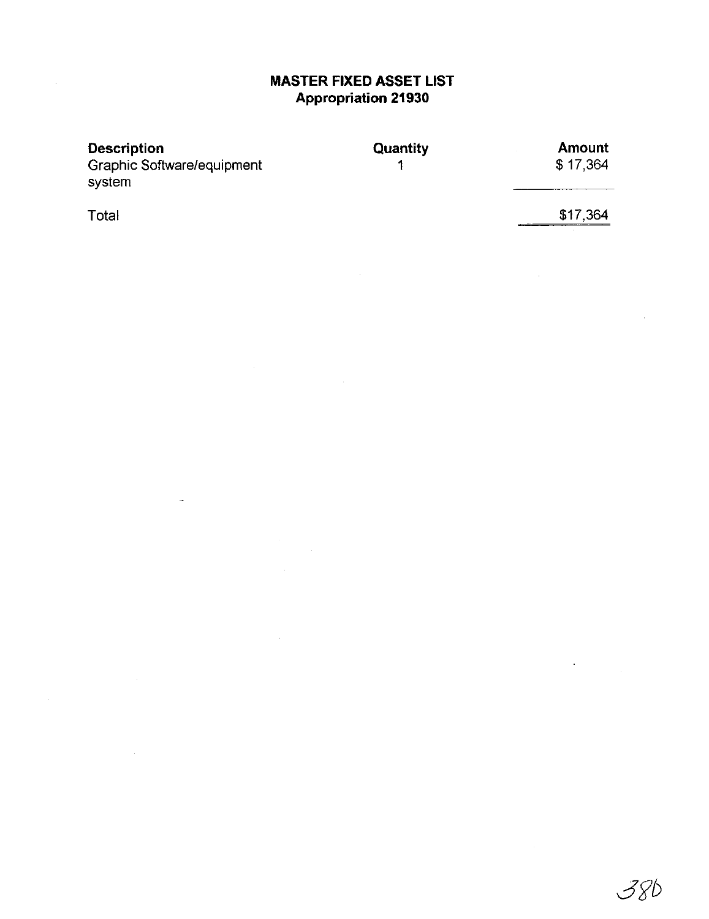## **MASTER FIXED ASSET LIST Appropriation 21930**

| <b>Quantity</b> | <b>Amount</b> |
|-----------------|---------------|
|                 | \$17,364      |
|                 |               |
|                 |               |

**Total** 

 $\sim$ 

 $\overline{a}$ 

 $\bar{\beta}$ 

\$17,364

J.

 $\mathbb{Z}^2$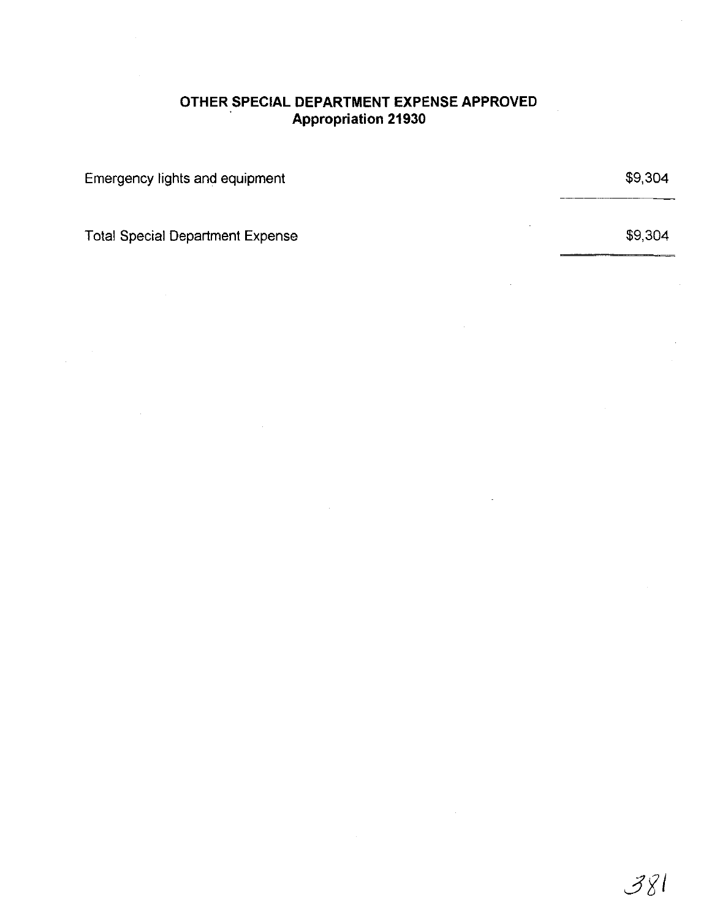## **OTHER SPECIAL DEPARTMENT EXPENSE APPROVED Appropriation 21930**

Emergency lights and equipment

Total Special Department Expense

\$9,304

\$9,304